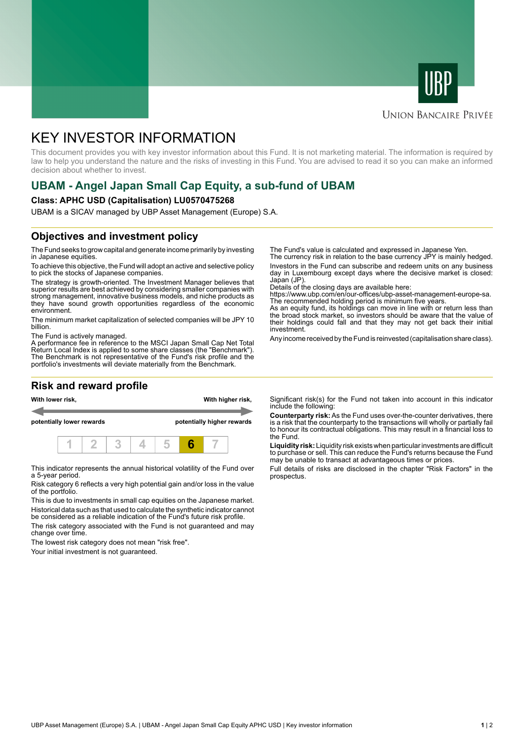



#### **UNION BANCAIRE PRIVÉE**

# KEY INVESTOR INFORMATION

This document provides you with key investor information about this Fund. It is not marketing material. The information is required by law to help you understand the nature and the risks of investing in this Fund. You are advised to read it so you can make an informed decision about whether to invest.

## **UBAM - Angel Japan Small Cap Equity, a sub-fund of UBAM**

#### **Class: APHC USD (Capitalisation) LU0570475268**

UBAM is a SICAV managed by UBP Asset Management (Europe) S.A.

### **Objectives and investment policy**

The Fund seeks to grow capital and generate income primarily by investing in Japanese equities.

To achieve this objective, the Fund will adopt an active and selective policy to pick the stocks of Japanese companies.

The strategy is growth-oriented. The Investment Manager believes that superior results are best achieved by considering smaller companies with strong management, innovative business models, and niche products as they have sound growth opportunities regardless of the economic environment.

The minimum market capitalization of selected companies will be JPY 10 billion.

The Fund is actively managed.

A performance fee in reference to the MSCI Japan Small Cap Net Total Return Local Index is applied to some share classes (the "Benchmark"). The Benchmark is not representative of the Fund's risk profile and the portfolio's investments will deviate materially from the Benchmark.

### **Risk and reward profile**



This indicator represents the annual historical volatility of the Fund over a 5-year period.

Risk category 6 reflects a very high potential gain and/or loss in the value of the portfolio.

This is due to investments in small cap equities on the Japanese market. Historical data such as that used to calculate the synthetic indicator cannot be considered as a reliable indication of the Fund's future risk profile.

The risk category associated with the Fund is not guaranteed and may change over time.

The lowest risk category does not mean "risk free".

Your initial investment is not guaranteed.

The Fund's value is calculated and expressed in Japanese Yen.

The currency risk in relation to the base currency JPY is mainly hedged. Investors in the Fund can subscribe and redeem units on any business day in Luxembourg except days where the decisive market is closed: Japan (JP)

Details of the closing days are available here:

https://www.ubp.com/en/our-offices/ubp-asset-management-europe-sa. The recommended holding period is minimum five years.

As an equity fund, its holdings can move in line with or return less than the broad stock market, so investors should be aware that the value of their holdings could fall and that they may not get back their initial investment.

Any income received by the Fund is reinvested (capitalisation share class).

Significant risk(s) for the Fund not taken into account in this indicator include the following:

**Counterparty risk:** As the Fund uses over-the-counter derivatives, there is a risk that the counterparty to the transactions will wholly or partially fail to honour its contractual obligations. This may result in a financial loss to the Fund.

**Liquidity risk:** Liquidity risk exists when particular investments are difficult to purchase or sell. This can reduce the Fund's returns because the Fund may be unable to transact at advantageous times or prices.

Full details of risks are disclosed in the chapter "Risk Factors" in the prospectus.